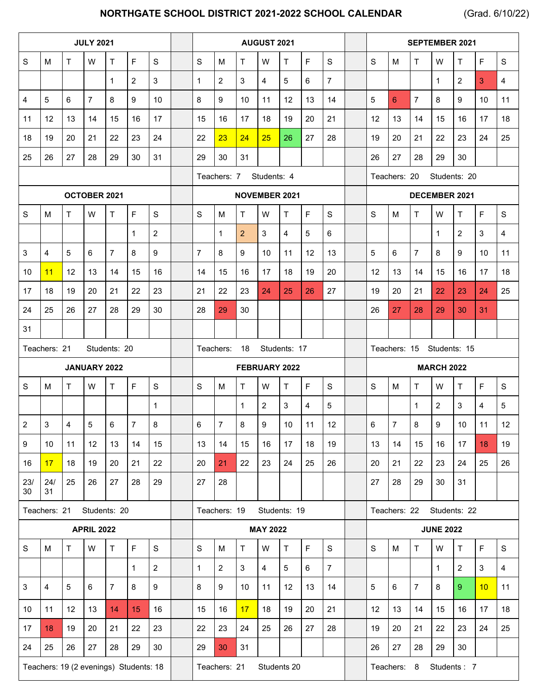## **NORTHGATE SCHOOL DISTRICT 2021-2022 SCHOOL CALENDAR** (Grad. 6/10/22)

| <b>JULY 2021</b> |              |             |                   |                |                |                | AUGUST 2021                  |                         |                |                 |                 | <b>SEPTEMBER 2021</b>     |                              |                      |                |                |                  |                |             |               |
|------------------|--------------|-------------|-------------------|----------------|----------------|----------------|------------------------------|-------------------------|----------------|-----------------|-----------------|---------------------------|------------------------------|----------------------|----------------|----------------|------------------|----------------|-------------|---------------|
| S                | М            | T           | W                 | $\mathsf{T}$   | F              | $\mathbf S$    | $\mathbf S$                  | M                       | $\mathsf{T}$   | W               | T               | F                         | $\mathbf S$                  | S                    | м              | T              | W                | T.             | F           | $\mathbf S$   |
|                  |              |             |                   | $\mathbf{1}$   | 2              | 3              | $\mathbf{1}$                 | $\overline{2}$          | 3              | $\overline{4}$  | 5               | 6                         | $\overline{7}$               |                      |                |                | $\mathbf{1}$     | $\overline{2}$ | 3           | 4             |
| 4                | 5            | 6           | $\overline{7}$    | 8              | 9              | 10             | 8                            | 9                       | 10             | 11              | 12              | 13                        | 14                           | 5                    | 6              | $\overline{7}$ | 8                | 9              | 10          | 11            |
| 11               | 12           | 13          | 14                | 15             | 16             | 17             | 15                           | 16                      | 17             | 18              | 19              | 20                        | 21                           | 12                   | 13             | 14             | 15               | 16             | 17          | 18            |
| 18               | 19           | 20          | 21                | 22             | 23             | 24             | 22                           | 23                      | 24             | 25              | 26              | 27                        | 28                           | 19                   | 20             | 21             | 22               | 23             | 24          | 25            |
| 25               | 26           | 27          | 28                | 29             | 30             | 31             | 29                           | 30                      | 31             |                 |                 |                           |                              | 26                   | 27             | 28             | 29               | 30             |             |               |
|                  |              |             |                   |                |                |                | Teachers: 7<br>Students: 4   |                         |                |                 |                 |                           | Teachers: 20<br>Students: 20 |                      |                |                |                  |                |             |               |
|                  |              |             | OCTOBER 2021      |                |                |                | <b>NOVEMBER 2021</b>         |                         |                |                 |                 |                           |                              | <b>DECEMBER 2021</b> |                |                |                  |                |             |               |
| S                | М            | Τ           | W                 | $\mathsf{T}$   | F              | S              | S                            | M                       | $\mathsf{T}$   | W               | T.              | F                         | $\mathbf S$                  | S                    | м              | T              | W                | T.             | F           | ${\mathsf S}$ |
|                  |              |             |                   |                | $\mathbf{1}$   | $\overline{2}$ |                              | $\mathbf{1}$            | $\overline{2}$ | 3               | 4               | 5                         | 6                            |                      |                |                | $\mathbf{1}$     | $\overline{2}$ | 3           | 4             |
| 3                | 4            | 5           | 6                 | $\overline{7}$ | 8              | 9              | 7                            | 8                       | 9              | 10              | 11              | 12                        | 13                           | 5                    | 6              | $\overline{7}$ | 8                | 9              | 10          | 11            |
| 10               | 11           | 12          | 13                | 14             | 15             | 16             | 14                           | 15                      | 16             | 17              | 18              | 19                        | 20                           | 12                   | 13             | 14             | 15               | 16             | 17          | 18            |
| 17               | 18           | 19          | 20                | 21             | 22             | 23             | 21                           | 22                      | 23             | 24              | 25              | 26                        | 27                           | 19                   | 20             | 21             | 22               | 23             | 24          | 25            |
| 24               | 25           | 26          | 27                | 28             | 29             | 30             | 28                           | 29                      | 30             |                 |                 |                           |                              | 26                   | 27             | 28             | 29               | 30             | 31          |               |
| 31               |              |             |                   |                |                |                |                              |                         |                |                 |                 |                           |                              |                      |                |                |                  |                |             |               |
|                  | Teachers: 21 |             |                   | Students: 20   |                |                | Teachers:<br>18 Students: 17 |                         |                |                 |                 | Teachers: 15 Students: 15 |                              |                      |                |                |                  |                |             |               |
| JANUARY 2022     |              |             |                   |                |                | FEBRUARY 2022  |                              |                         |                |                 |                 | <b>MARCH 2022</b>         |                              |                      |                |                |                  |                |             |               |
|                  |              |             |                   |                |                |                |                              |                         |                |                 |                 |                           |                              |                      |                |                |                  |                |             |               |
| S                | M            | T.          | W                 | $\mathsf{T}$   | E              | $\mathsf{s}$   | S                            | M                       | T              | W               | T.              | F                         | $\mathbf S$                  | S                    | M              | $\mathsf{T}$   | W                | T.             | $\mathsf F$ | $\mathbf S$   |
|                  |              |             |                   |                |                | $\mathbf 1$    |                              |                         | 1              | $\overline{2}$  | 3               | 4                         | 5                            |                      |                | $\mathbf 1$    | $\overline{2}$   | 3              | 4           | 5             |
| $\overline{2}$   | 3            | 4           | $\sqrt{5}$        | 6              | $\overline{7}$ | 8              | 6                            | $\overline{7}$          | 8              | 9               | 10              | 11                        | 12                           | 6                    | $\overline{7}$ | 8              | 9                | 10             | 11          | 12            |
| 9                | 10           | 11          | 12 <sup>°</sup>   | 13             | 14             | 15             | 13                           | 14                      | 15             | 16              | 17              | 18                        | 19                           | 13                   | 14             | 15             | 16               | 17             | 18          | 19            |
| 16               | 17           | 18          | 19                | 20             | 21             | 22             | 20                           | 21                      | 22             | 23              | 24              | 25                        | 26                           | 20                   | 21             | 22             | 23               | 24             | 25          | 26            |
| 23/<br>30        | 24/<br>31    | 25          | 26                | 27             | 28             | 29             | 27                           | 28                      |                |                 |                 |                           |                              | 27                   | 28             | 29             | 30               | 31             |             |               |
|                  | Teachers: 21 |             |                   | Students: 20   |                |                |                              | Teachers: 19            |                |                 | Students: 19    |                           |                              |                      | Teachers: 22   |                | Students: 22     |                |             |               |
|                  |              |             | <b>APRIL 2022</b> |                |                |                |                              |                         |                | <b>MAY 2022</b> |                 |                           |                              |                      |                |                | <b>JUNE 2022</b> |                |             |               |
| S                | M            | $\mathsf T$ | W                 | $\mathsf T$    | $\mathsf F$    | $\mathbf S$    | S                            | M                       | $\top$         | W               | $\mathsf T$     | $\mathsf F$               | $\mathbf S$                  | $\mathsf{s}$         | M              | $\mathsf T$    | W                | $\mathsf T$    | $\mathsf F$ | $\mathbf S$   |
|                  |              |             |                   |                | $\mathbf{1}$   | $\overline{2}$ | 1                            | $\overline{\mathbf{c}}$ | 3              | $\overline{4}$  | $5\phantom{.0}$ | 6                         | $\overline{7}$               |                      |                |                | $\mathbf{1}$     | $\overline{2}$ | 3           | 4             |
| 3                | 4            | 5           | $\,6\,$           | $\overline{7}$ | 8              | 9              | 8                            | 9                       | 10             | 11              | 12              | 13                        | 14                           | 5                    | 6              | $\overline{7}$ | 8                | 9 <sup>°</sup> | 10          | 11            |
| 10               | 11           | 12          | 13                | 14             | 15             | 16             | 15                           | 16                      | 17             | 18              | 19              | 20                        | 21                           | 12                   | 13             | 14             | 15               | 16             | 17          | 18            |
| 17               | 18           | 19          | 20                | 21             | 22             | 23             | 22                           | 23                      | 24             | 25              | 26              | 27                        | 28                           | 19                   | 20             | 21             | 22               | 23             | 24          | 25            |
| 24               | 25           | 26          | 27                | 28             | 29             | 30             | 29                           | 30                      | 31             |                 |                 |                           |                              | 26                   | 27             | 28             | 29               | 30             |             |               |